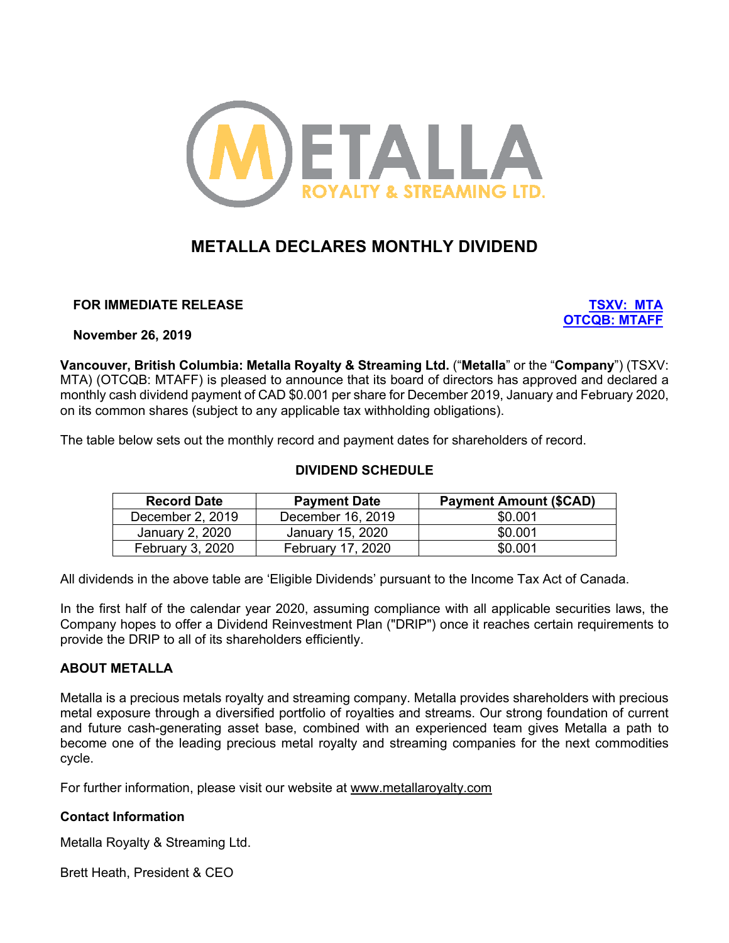

# **METALLA DECLARES MONTHLY DIVIDEND**

**FOR IMMEDIATE RELEASE TSXV: MTA**

**OTCQB: MTAFF**

**November 26, 2019**

**Vancouver, British Columbia: Metalla Royalty & Streaming Ltd.** ("**Metalla**" or the "**Company**") (TSXV: MTA) (OTCQB: MTAFF) is pleased to announce that its board of directors has approved and declared a monthly cash dividend payment of CAD \$0.001 per share for December 2019, January and February 2020, on its common shares (subject to any applicable tax withholding obligations).

The table below sets out the monthly record and payment dates for shareholders of record.

# **DIVIDEND SCHEDULE**

| <b>Record Date</b> | <b>Payment Date</b> | <b>Payment Amount (\$CAD)</b> |
|--------------------|---------------------|-------------------------------|
| December 2, 2019   | December 16, 2019   | \$0.001                       |
| January 2, 2020    | January 15, 2020    | \$0.001                       |
| February 3, 2020   | February 17, 2020   | \$0.001                       |

All dividends in the above table are 'Eligible Dividends' pursuant to the Income Tax Act of Canada.

In the first half of the calendar year 2020, assuming compliance with all applicable securities laws, the Company hopes to offer a Dividend Reinvestment Plan ("DRIP") once it reaches certain requirements to provide the DRIP to all of its shareholders efficiently.

# **ABOUT METALLA**

Metalla is a precious metals royalty and streaming company. Metalla provides shareholders with precious metal exposure through a diversified portfolio of royalties and streams. Our strong foundation of current and future cash-generating asset base, combined with an experienced team gives Metalla a path to become one of the leading precious metal royalty and streaming companies for the next commodities cycle.

For further information, please visit our website at www.metallaroyalty.com

## **Contact Information**

Metalla Royalty & Streaming Ltd.

Brett Heath, President & CEO